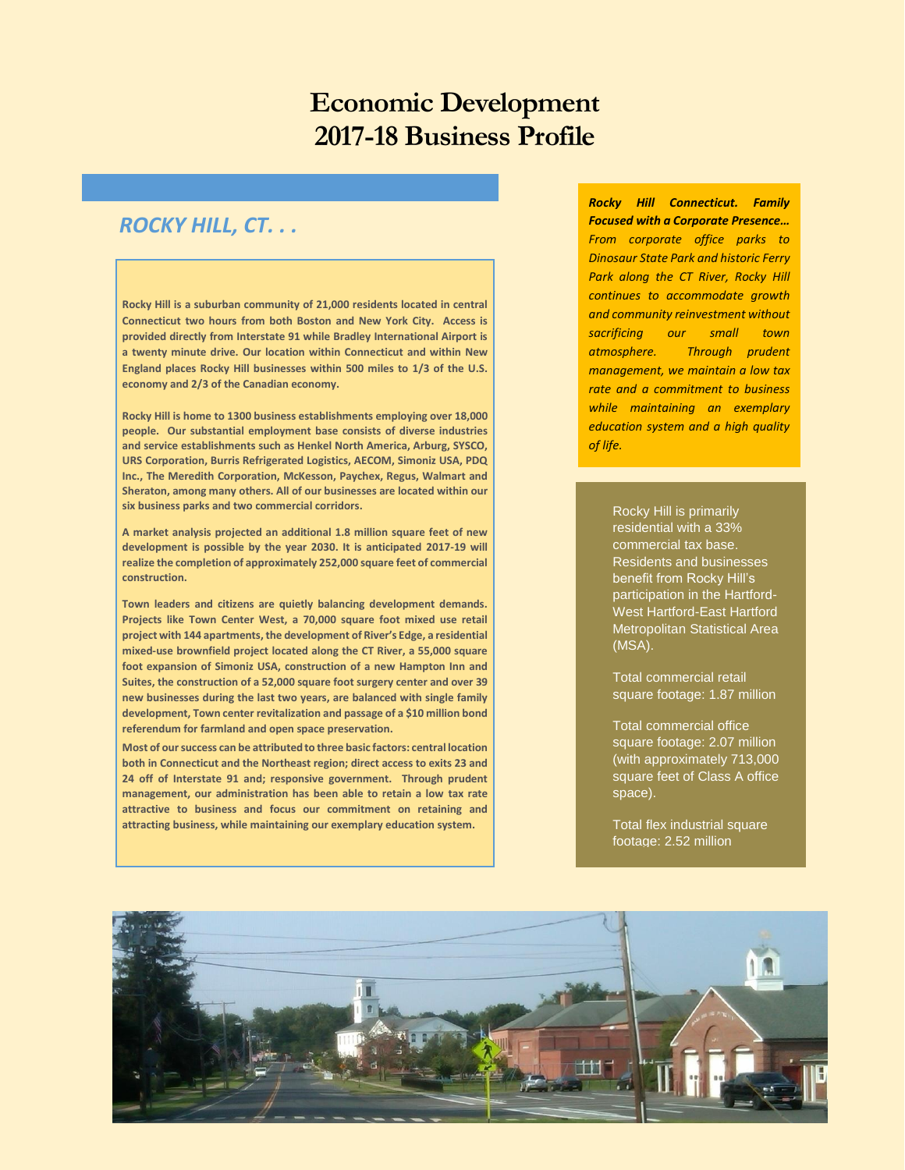# **Economic Development 2017-18 Business Profile**

# *ROCKY HILL, CT. . .*

**Rocky Hill is a suburban community of 21,000 residents located in central Connecticut two hours from both Boston and New York City. Access is provided directly from Interstate 91 while Bradley International Airport is a twenty minute drive. Our location within Connecticut and within New England places Rocky Hill businesses within 500 miles to 1/3 of the U.S. economy and 2/3 of the Canadian economy.** 

**Rocky Hill is home to 1300 business establishments employing over 18,000 people. Our substantial employment base consists of diverse industries and service establishments such as Henkel North America, Arburg, SYSCO, URS Corporation, Burris Refrigerated Logistics, AECOM, Simoniz USA, PDQ Inc., The Meredith Corporation, McKesson, Paychex, Regus, Walmart and Sheraton, among many others. All of our businesses are located within our six business parks and two commercial corridors.** 

**A market analysis projected an additional 1.8 million square feet of new development is possible by the year 2030. It is anticipated 2017-19 will realize the completion of approximately 252,000 square feet of commercial construction.** 

**Town leaders and citizens are quietly balancing development demands. Projects like Town Center West, a 70,000 square foot mixed use retail project with 144 apartments, the development of River's Edge, a residential mixed-use brownfield project located along the CT River, a 55,000 square foot expansion of Simoniz USA, construction of a new Hampton Inn and Suites, the construction of a 52,000 square foot surgery center and over 39 new businesses during the last two years, are balanced with single family development, Town center revitalization and passage of a \$10 million bond referendum for farmland and open space preservation.** 

**Most of our success can be attributed to three basic factors: central location both in Connecticut and the Northeast region; direct access to exits 23 and 24 off of Interstate 91 and; responsive government. Through prudent management, our administration has been able to retain a low tax rate attractive to business and focus our commitment on retaining and attracting business, while maintaining our exemplary education system.** 

֦

*Rocky Hill Connecticut. Family Focused with a Corporate Presence… From corporate office parks to Dinosaur State Park and historic Ferry Park along the CT River, Rocky Hill continues to accommodate growth and community reinvestment without sacrificing our small town atmosphere. Through prudent management, we maintain a low tax rate and a commitment to business while maintaining an exemplary education system and a high quality of life.* 

> Rocky Hill is primarily residential with a 33% commercial tax base. Residents and businesses benefit from Rocky Hill's participation in the Hartford-West Hartford-East Hartford Metropolitan Statistical Area (MSA).

Total commercial retail square footage: 1.87 million

Total commercial office square footage: 2.07 million (with approximately 713,000 square feet of Class A office space).

Total flex industrial square footage: 2.52 million

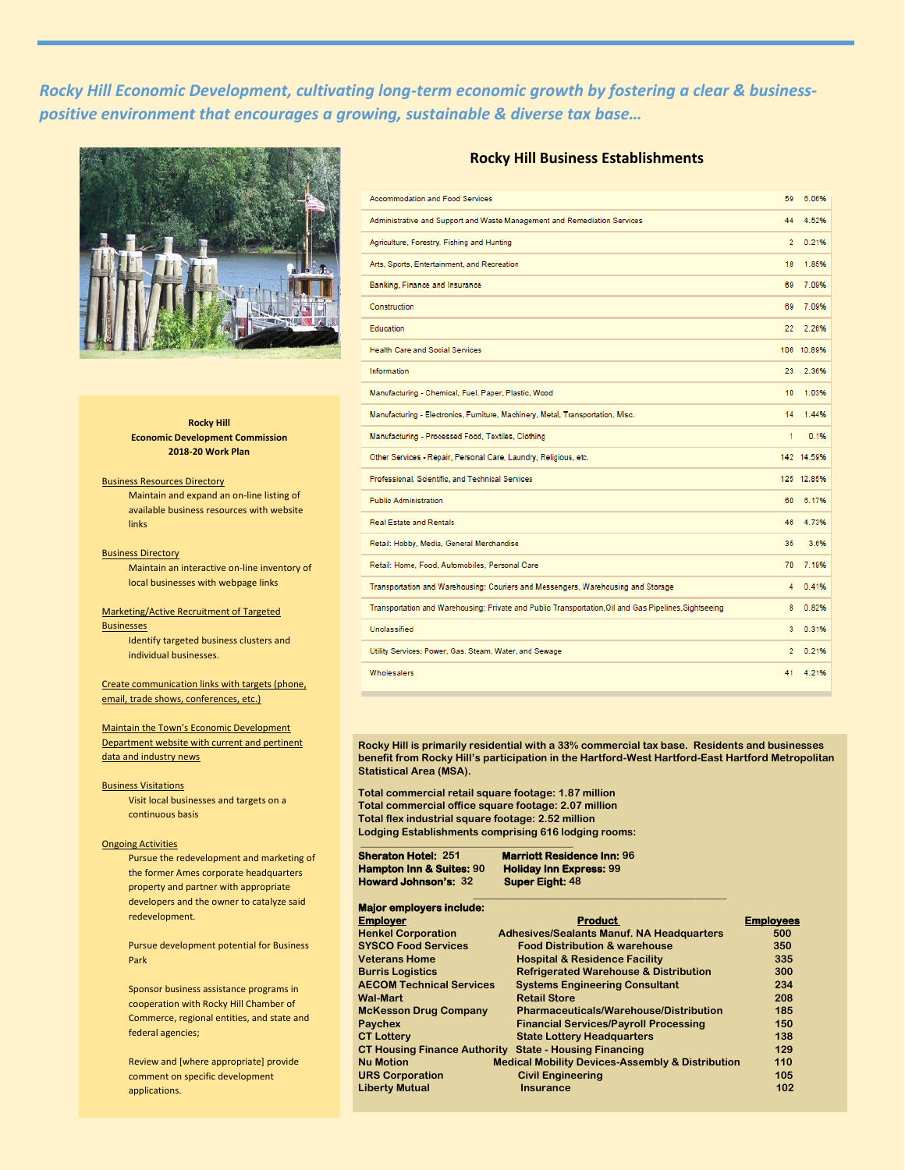*Rocky Hill Economic Development, cultivating long-term economic growth by fostering a clear & businesspositive environment that encourages a growing, sustainable & diverse tax base…*



#### **Rocky Hill Economic Development Commission 2018-20 Work Plan**

### Business Resources Directory

Maintain and expand an on-line listing of available business resources with website links

#### **Business Directory**

Maintain an interactive on-line inventory of local businesses with webpage links

#### Marketing/Active Recruitment of Targeted

**Businesses** Identify targeted business clusters and individual businesses.

Create communication links with targets (phone, email, trade shows, conferences, etc.)

Maintain the Town's Economic Development Department website with current and pertinent data and industry news

#### Business Visitations

Visit local businesses and targets on a continuous basis

#### Ongoing Activities

Pursue the redevelopment and marketing of the former Ames corporate headquarters property and partner with appropriate developers and the owner to catalyze said redevelopment.

Pursue development potential for Business Park

Sponsor business assistance programs in cooperation with Rocky Hill Chamber of Commerce, regional entities, and state and federal agencies;

Review and [where appropriate] provide comment on specific development applications.

## **Rocky Hill Business Establishments**

| <b>Accommodation and Food Services</b>                                                                | 59             | 6.06%      |
|-------------------------------------------------------------------------------------------------------|----------------|------------|
| Administrative and Support and Waste Management and Remediation Services                              | 44             | 4.52%      |
| Agriculture, Forestry, Fishing and Hunting                                                            | $\overline{2}$ | 0.21%      |
| Arts, Sports, Entertainment, and Recreation                                                           | 18             | 1.85%      |
| Banking, Finance and Insurance                                                                        | 69             | 7.09%      |
| Construction                                                                                          | 69             | 7.09%      |
| Education                                                                                             | 22             | 2.26%      |
| <b>Health Care and Social Services</b>                                                                |                | 106 10.89% |
| Information                                                                                           | 23             | 2.36%      |
| Manufacturing - Chemical, Fuel, Paper, Plastic, Wood                                                  | 10             | 1.03%      |
| Manufacturing - Electronics, Furniture, Machinery, Metal, Transportation, Misc.                       | 14             | 1.44%      |
| Manufacturing - Processed Food, Textiles, Clothing                                                    | 1              | 0.1%       |
| Other Services - Repair, Personal Care, Laundry, Religious, etc.                                      |                | 142 14.59% |
| Professional, Scientific, and Technical Services                                                      |                | 125 12.85% |
| <b>Public Administration</b>                                                                          | 60             | 6.17%      |
| <b>Real Estate and Rentals</b>                                                                        | 46             | 4.73%      |
| Retail: Hobby, Media, General Merchandise                                                             | 35             | 3.6%       |
| Retail: Home, Food, Automobiles, Personal Care                                                        | 70             | 7.19%      |
| Transportation and Warehousing: Couriers and Messengers, Warehousing and Storage                      | 4              | 0.41%      |
| Transportation and Warehousing: Private and Public Transportation, Oil and Gas Pipelines, Sightseeing | 8              | 0.82%      |
| Unclassified                                                                                          | 3              | 0.31%      |
| Utility Services: Power, Gas, Steam, Water, and Sewage                                                | $\overline{2}$ | 0.21%      |
| Wholesalers                                                                                           | 41             | 4.21%      |

**Rocky Hill is primarily residential with a 33% commercial tax base. Residents and businesses benefit from Rocky Hill's participation in the Hartford-West Hartford-East Hartford Metropolitan Statistical Area (MSA).** 

**\_\_\_\_\_\_\_\_\_\_\_\_\_\_\_\_\_\_\_\_\_\_\_\_\_\_\_\_\_\_\_\_\_\_\_\_\_\_\_\_\_\_\_\_\_\_\_\_\_**

**Total commercial retail square footage: 1.87 million Total commercial office square footage: 2.07 million Total flex industrial square footage: 2.52 million Lodging Establishments comprising 616 lodging rooms: \_\_\_\_\_\_\_\_\_\_\_\_\_\_\_\_\_\_\_\_\_\_\_\_\_\_\_\_\_\_\_\_\_\_\_\_\_\_\_\_\_\_\_\_\_\_\_\_**

**Howard Johnson's: 32 Super Eight: 48** 

**Sheraton Hotel: 251 Marriott Residence Inn: 96 Hampton Inn & Suites: 90 Holiday Inn Express: 99** 

| <b>Major employers include:</b>     |                                                             |                  |
|-------------------------------------|-------------------------------------------------------------|------------------|
| Employer                            | <b>Product</b>                                              | <b>Employees</b> |
| <b>Henkel Corporation</b>           | <b>Adhesives/Sealants Manuf. NA Headquarters</b>            | 500              |
| <b>SYSCO Food Services</b>          | <b>Food Distribution &amp; warehouse</b>                    | 350              |
| Veterans Home                       | <b>Hospital &amp; Residence Facility</b>                    | 335              |
| <b>Burris Logistics</b>             | <b>Refrigerated Warehouse &amp; Distribution</b>            | 300              |
| <b>AECOM Technical Services</b>     | <b>Systems Engineering Consultant</b>                       | 234              |
| Wal-Mart                            | <b>Retail Store</b>                                         | 208              |
| <b>McKesson Drug Company</b>        | <b>Pharmaceuticals/Warehouse/Distribution</b>               | 185              |
| <b>Paychex</b>                      | <b>Financial Services/Payroll Processing</b>                | 150              |
| <b>CT Lotterv</b>                   | <b>State Lottery Headquarters</b>                           | 138              |
| <b>CT Housing Finance Authority</b> | <b>State - Housing Financing</b>                            | 129              |
| <b>Nu Motion</b>                    | <b>Medical Mobility Devices-Assembly &amp; Distribution</b> | 110              |
| <b>URS Corporation</b>              | <b>Civil Engineering</b>                                    | 105              |
| <b>Liberty Mutual</b>               | <b>Insurance</b>                                            | 102              |